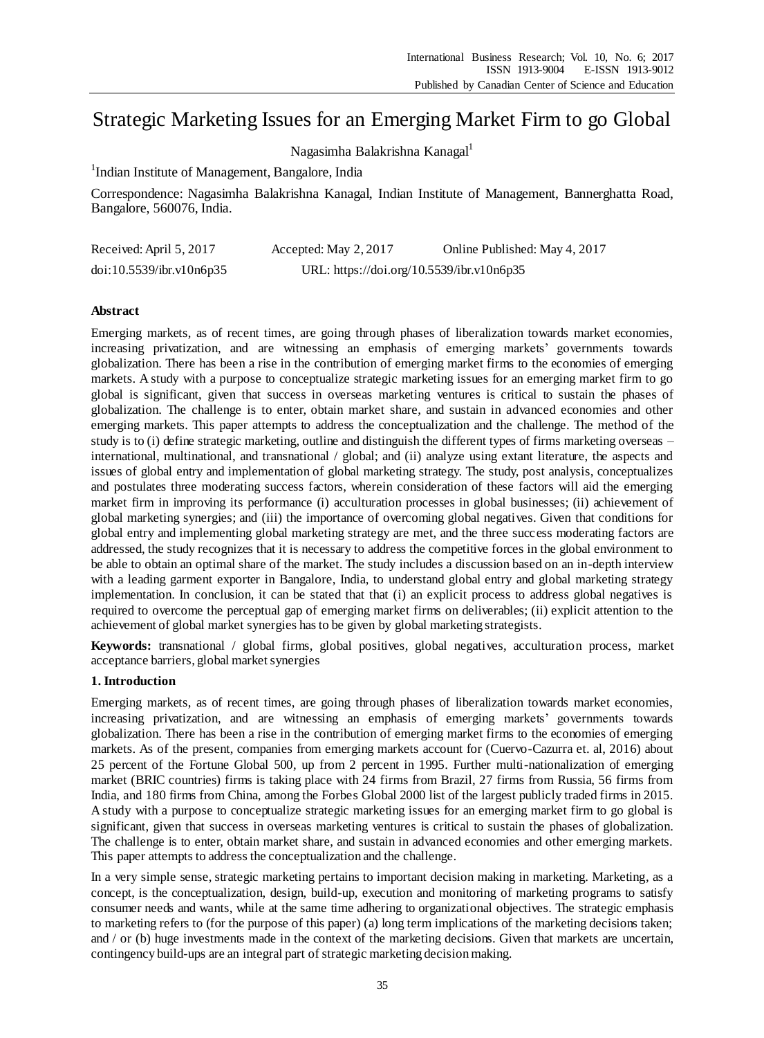# Strategic Marketing Issues for an Emerging Market Firm to go Global

Nagasimha Balakrishna Kanagal<sup>1</sup>

<sup>1</sup>Indian Institute of Management, Bangalore, India

Correspondence: Nagasimha Balakrishna Kanagal, Indian Institute of Management, Bannerghatta Road, Bangalore, 560076, India.

| Received: April 5, 2017  | Accepted: May 2, 2017                     | Online Published: May 4, 2017 |
|--------------------------|-------------------------------------------|-------------------------------|
| doi:10.5539/ibr.v10n6p35 | URL: https://doi.org/10.5539/ibr.v10n6p35 |                               |

# **Abstract**

Emerging markets, as of recent times, are going through phases of liberalization towards market economies, increasing privatization, and are witnessing an emphasis of emerging markets' governments towards globalization. There has been a rise in the contribution of emerging market firms to the economies of emerging markets. A study with a purpose to conceptualize strategic marketing issues for an emerging market firm to go global is significant, given that success in overseas marketing ventures is critical to sustain the phases of globalization. The challenge is to enter, obtain market share, and sustain in advanced economies and other emerging markets. This paper attempts to address the conceptualization and the challenge. The method of the study is to (i) define strategic marketing, outline and distinguish the different types of firms marketing overseas – international, multinational, and transnational / global; and (ii) analyze using extant literature, the aspects and issues of global entry and implementation of global marketing strategy. The study, post analysis, conceptualizes and postulates three moderating success factors, wherein consideration of these factors will aid the emerging market firm in improving its performance (i) acculturation processes in global businesses; (ii) achievement of global marketing synergies; and (iii) the importance of overcoming global negatives. Given that conditions for global entry and implementing global marketing strategy are met, and the three success moderating factors are addressed, the study recognizes that it is necessary to address the competitive forces in the global environment to be able to obtain an optimal share of the market. The study includes a discussion based on an in-depth interview with a leading garment exporter in Bangalore, India, to understand global entry and global marketing strategy implementation. In conclusion, it can be stated that that (i) an explicit process to address global negatives is required to overcome the perceptual gap of emerging market firms on deliverables; (ii) explicit attention to the achievement of global market synergies has to be given by global marketing strategists.

**Keywords:** transnational / global firms, global positives, global negatives, acculturation process, market acceptance barriers, global market synergies

## **1. Introduction**

Emerging markets, as of recent times, are going through phases of liberalization towards market economies, increasing privatization, and are witnessing an emphasis of emerging markets' governments towards globalization. There has been a rise in the contribution of emerging market firms to the economies of emerging markets. As of the present, companies from emerging markets account for (Cuervo-Cazurra et. al, 2016) about 25 percent of the Fortune Global 500, up from 2 percent in 1995. Further multi-nationalization of emerging market (BRIC countries) firms is taking place with 24 firms from Brazil, 27 firms from Russia, 56 firms from India, and 180 firms from China, among the Forbes Global 2000 list of the largest publicly traded firms in 2015. A study with a purpose to conceptualize strategic marketing issues for an emerging market firm to go global is significant, given that success in overseas marketing ventures is critical to sustain the phases of globalization. The challenge is to enter, obtain market share, and sustain in advanced economies and other emerging markets. This paper attempts to address the conceptualization and the challenge.

In a very simple sense, strategic marketing pertains to important decision making in marketing. Marketing, as a concept, is the conceptualization, design, build-up, execution and monitoring of marketing programs to satisfy consumer needs and wants, while at the same time adhering to organizational objectives. The strategic emphasis to marketing refers to (for the purpose of this paper) (a) long term implications of the marketing decisions taken; and / or (b) huge investments made in the context of the marketing decisions. Given that markets are uncertain, contingency build-ups are an integral part of strategic marketing decision making.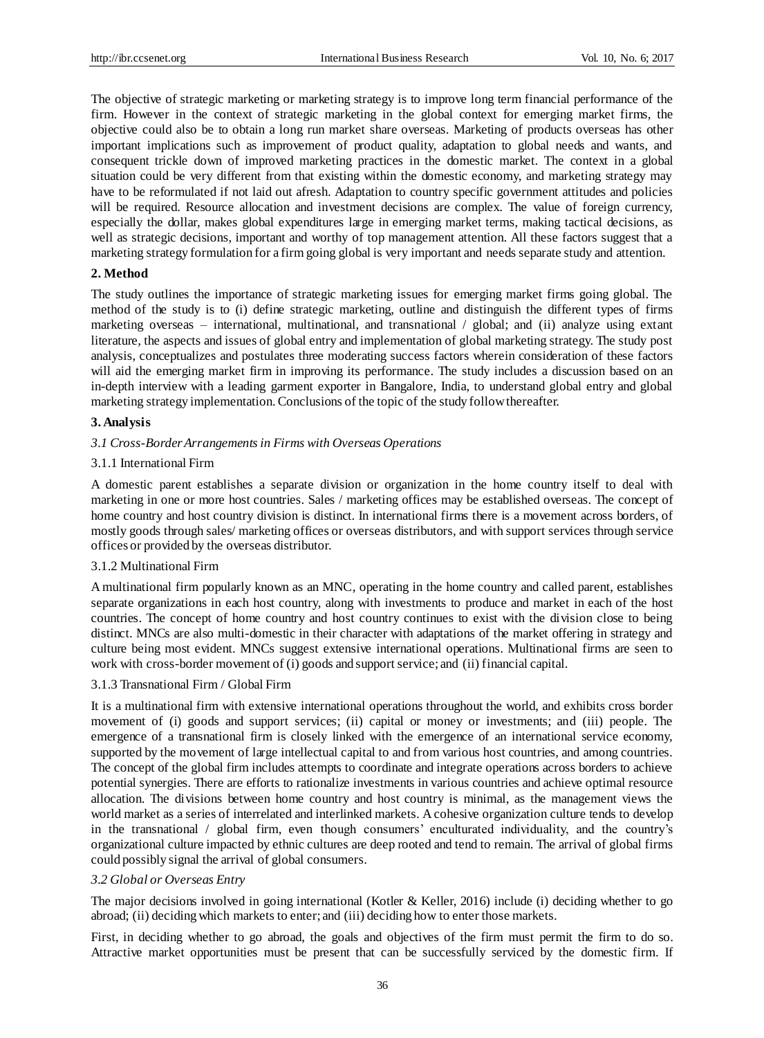The objective of strategic marketing or marketing strategy is to improve long term financial performance of the firm. However in the context of strategic marketing in the global context for emerging market firms, the objective could also be to obtain a long run market share overseas. Marketing of products overseas has other important implications such as improvement of product quality, adaptation to global needs and wants, and consequent trickle down of improved marketing practices in the domestic market. The context in a global situation could be very different from that existing within the domestic economy, and marketing strategy may have to be reformulated if not laid out afresh. Adaptation to country specific government attitudes and policies will be required. Resource allocation and investment decisions are complex. The value of foreign currency, especially the dollar, makes global expenditures large in emerging market terms, making tactical decisions, as well as strategic decisions, important and worthy of top management attention. All these factors suggest that a marketing strategy formulation for a firm going global is very important and needs separate study and attention.

#### **2. Method**

The study outlines the importance of strategic marketing issues for emerging market firms going global. The method of the study is to (i) define strategic marketing, outline and distinguish the different types of firms marketing overseas – international, multinational, and transnational / global; and (ii) analyze using extant literature, the aspects and issues of global entry and implementation of global marketing strategy. The study post analysis, conceptualizes and postulates three moderating success factors wherein consideration of these factors will aid the emerging market firm in improving its performance. The study includes a discussion based on an in-depth interview with a leading garment exporter in Bangalore, India, to understand global entry and global marketing strategy implementation. Conclusions of the topic of the study follow thereafter.

#### **3. Analysis**

#### *3.1 Cross-Border Arrangements in Firms with Overseas Operations*

#### 3.1.1 International Firm

A domestic parent establishes a separate division or organization in the home country itself to deal with marketing in one or more host countries. Sales / marketing offices may be established overseas. The concept of home country and host country division is distinct. In international firms there is a movement across borders, of mostly goods through sales/ marketing offices or overseas distributors, and with support services through service offices or provided by the overseas distributor.

## 3.1.2 Multinational Firm

A multinational firm popularly known as an MNC, operating in the home country and called parent, establishes separate organizations in each host country, along with investments to produce and market in each of the host countries. The concept of home country and host country continues to exist with the division close to being distinct. MNCs are also multi-domestic in their character with adaptations of the market offering in strategy and culture being most evident. MNCs suggest extensive international operations. Multinational firms are seen to work with cross-border movement of (i) goods and support service; and (ii) financial capital.

#### 3.1.3 Transnational Firm / Global Firm

It is a multinational firm with extensive international operations throughout the world, and exhibits cross border movement of (i) goods and support services; (ii) capital or money or investments; and (iii) people. The emergence of a transnational firm is closely linked with the emergence of an international service economy, supported by the movement of large intellectual capital to and from various host countries, and among countries. The concept of the global firm includes attempts to coordinate and integrate operations across borders to achieve potential synergies. There are efforts to rationalize investments in various countries and achieve optimal resource allocation. The divisions between home country and host country is minimal, as the management views the world market as a series of interrelated and interlinked markets. A cohesive organization culture tends to develop in the transnational / global firm, even though consumers' enculturated individuality, and the country's organizational culture impacted by ethnic cultures are deep rooted and tend to remain. The arrival of global firms could possibly signal the arrival of global consumers.

#### *3.2 Global or Overseas Entry*

The major decisions involved in going international (Kotler & Keller, 2016) include (i) deciding whether to go abroad; (ii) deciding which markets to enter; and (iii) deciding how to enter those markets.

First, in deciding whether to go abroad, the goals and objectives of the firm must permit the firm to do so. Attractive market opportunities must be present that can be successfully serviced by the domestic firm. If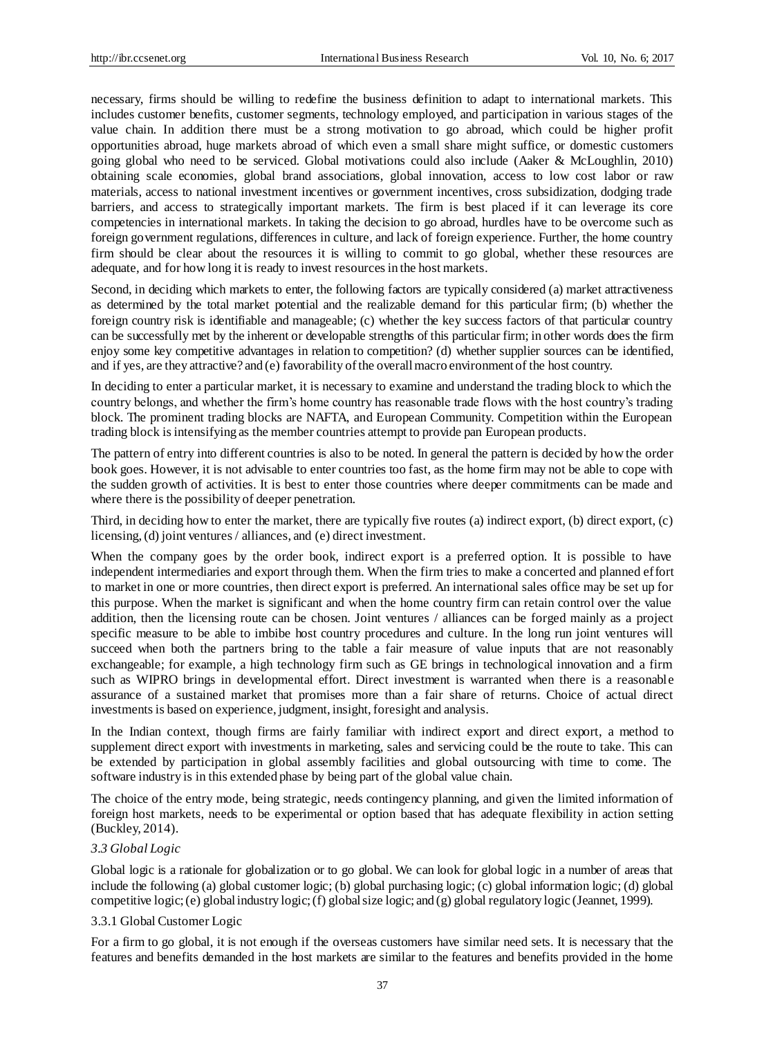necessary, firms should be willing to redefine the business definition to adapt to international markets. This includes customer benefits, customer segments, technology employed, and participation in various stages of the value chain. In addition there must be a strong motivation to go abroad, which could be higher profit opportunities abroad, huge markets abroad of which even a small share might suffice, or domestic customers going global who need to be serviced. Global motivations could also include (Aaker & McLoughlin, 2010) obtaining scale economies, global brand associations, global innovation, access to low cost labor or raw materials, access to national investment incentives or government incentives, cross subsidization, dodging trade barriers, and access to strategically important markets. The firm is best placed if it can leverage its core competencies in international markets. In taking the decision to go abroad, hurdles have to be overcome such as foreign government regulations, differences in culture, and lack of foreign experience. Further, the home country firm should be clear about the resources it is willing to commit to go global, whether these resources are adequate, and for how long it is ready to invest resources in the host markets.

Second, in deciding which markets to enter, the following factors are typically considered (a) market attractiveness as determined by the total market potential and the realizable demand for this particular firm; (b) whether the foreign country risk is identifiable and manageable; (c) whether the key success factors of that particular country can be successfully met by the inherent or developable strengths of this particular firm; in other words does the firm enjoy some key competitive advantages in relation to competition? (d) whether supplier sources can be identified, and if yes, are they attractive? and (e) favorability of the overall macro environment of the host country.

In deciding to enter a particular market, it is necessary to examine and understand the trading block to which the country belongs, and whether the firm's home country has reasonable trade flows with the host country's trading block. The prominent trading blocks are NAFTA, and European Community. Competition within the European trading block is intensifying as the member countries attempt to provide pan European products.

The pattern of entry into different countries is also to be noted. In general the pattern is decided by how the order book goes. However, it is not advisable to enter countries too fast, as the home firm may not be able to cope with the sudden growth of activities. It is best to enter those countries where deeper commitments can be made and where there is the possibility of deeper penetration.

Third, in deciding how to enter the market, there are typically five routes (a) indirect export, (b) direct export, (c) licensing, (d) joint ventures / alliances, and (e) direct investment.

When the company goes by the order book, indirect export is a preferred option. It is possible to have independent intermediaries and export through them. When the firm tries to make a concerted and planned effort to market in one or more countries, then direct export is preferred. An international sales office may be set up for this purpose. When the market is significant and when the home country firm can retain control over the value addition, then the licensing route can be chosen. Joint ventures / alliances can be forged mainly as a project specific measure to be able to imbibe host country procedures and culture. In the long run joint ventures will succeed when both the partners bring to the table a fair measure of value inputs that are not reasonably exchangeable; for example, a high technology firm such as GE brings in technological innovation and a firm such as WIPRO brings in developmental effort. Direct investment is warranted when there is a reasonable assurance of a sustained market that promises more than a fair share of returns. Choice of actual direct investments is based on experience, judgment, insight, foresight and analysis.

In the Indian context, though firms are fairly familiar with indirect export and direct export, a method to supplement direct export with investments in marketing, sales and servicing could be the route to take. This can be extended by participation in global assembly facilities and global outsourcing with time to come. The software industry is in this extended phase by being part of the global value chain.

The choice of the entry mode, being strategic, needs contingency planning, and given the limited information of foreign host markets, needs to be experimental or option based that has adequate flexibility in action setting (Buckley, 2014).

## *3.3 Global Logic*

Global logic is a rationale for globalization or to go global. We can look for global logic in a number of areas that include the following (a) global customer logic; (b) global purchasing logic; (c) global information logic; (d) global competitive logic; (e) global industry logic; (f) global size logic; and (g) global regulatory logic (Jeannet, 1999).

### 3.3.1 Global Customer Logic

For a firm to go global, it is not enough if the overseas customers have similar need sets. It is necessary that the features and benefits demanded in the host markets are similar to the features and benefits provided in the home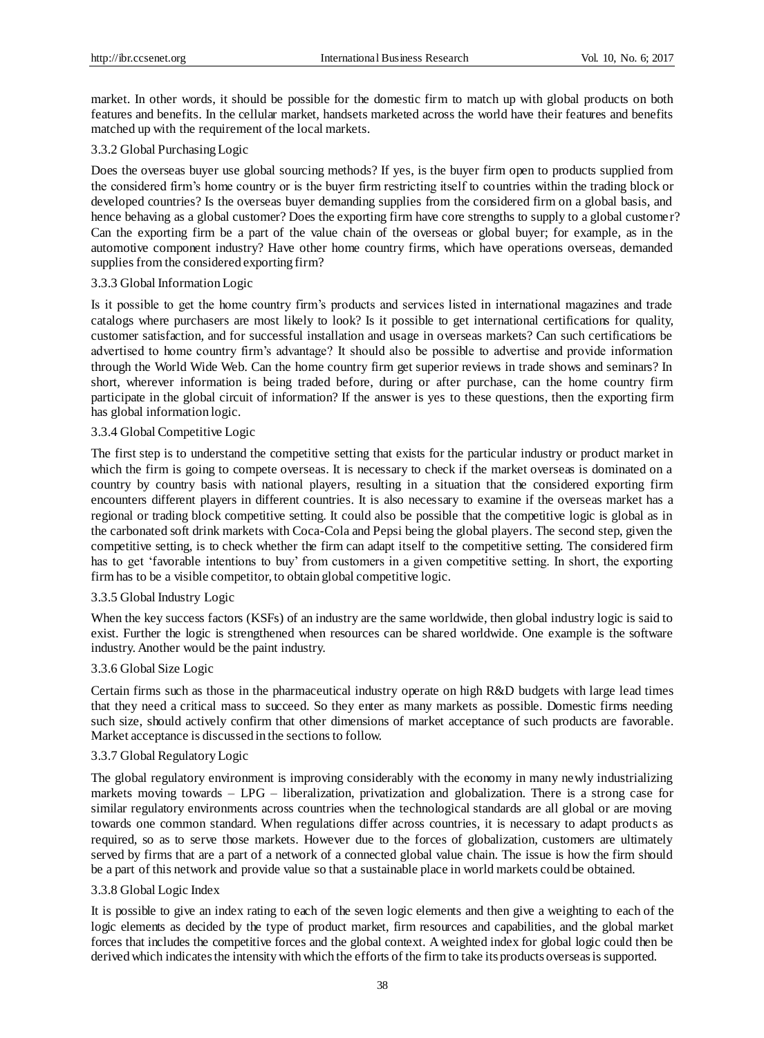market. In other words, it should be possible for the domestic firm to match up with global products on both features and benefits. In the cellular market, handsets marketed across the world have their features and benefits matched up with the requirement of the local markets.

## 3.3.2 Global Purchasing Logic

Does the overseas buyer use global sourcing methods? If yes, is the buyer firm open to products supplied from the considered firm's home country or is the buyer firm restricting itself to countries within the trading block or developed countries? Is the overseas buyer demanding supplies from the considered firm on a global basis, and hence behaving as a global customer? Does the exporting firm have core strengths to supply to a global customer? Can the exporting firm be a part of the value chain of the overseas or global buyer; for example, as in the automotive component industry? Have other home country firms, which have operations overseas, demanded supplies from the considered exporting firm?

## 3.3.3 Global Information Logic

Is it possible to get the home country firm's products and services listed in international magazines and trade catalogs where purchasers are most likely to look? Is it possible to get international certifications for quality, customer satisfaction, and for successful installation and usage in overseas markets? Can such certifications be advertised to home country firm's advantage? It should also be possible to advertise and provide information through the World Wide Web. Can the home country firm get superior reviews in trade shows and seminars? In short, wherever information is being traded before, during or after purchase, can the home country firm participate in the global circuit of information? If the answer is yes to these questions, then the exporting firm has global information logic.

# 3.3.4 Global Competitive Logic

The first step is to understand the competitive setting that exists for the particular industry or product market in which the firm is going to compete overseas. It is necessary to check if the market overseas is dominated on a country by country basis with national players, resulting in a situation that the considered exporting firm encounters different players in different countries. It is also necessary to examine if the overseas market has a regional or trading block competitive setting. It could also be possible that the competitive logic is global as in the carbonated soft drink markets with Coca-Cola and Pepsi being the global players. The second step, given the competitive setting, is to check whether the firm can adapt itself to the competitive setting. The considered firm has to get 'favorable intentions to buy' from customers in a given competitive setting. In short, the exporting firm has to be a visible competitor, to obtain global competitive logic.

## 3.3.5 Global Industry Logic

When the key success factors (KSFs) of an industry are the same worldwide, then global industry logic is said to exist. Further the logic is strengthened when resources can be shared worldwide. One example is the software industry. Another would be the paint industry.

## 3.3.6 Global Size Logic

Certain firms such as those in the pharmaceutical industry operate on high R&D budgets with large lead times that they need a critical mass to succeed. So they enter as many markets as possible. Domestic firms needing such size, should actively confirm that other dimensions of market acceptance of such products are favorable. Market acceptance is discussed in the sections to follow.

## 3.3.7 Global Regulatory Logic

The global regulatory environment is improving considerably with the economy in many newly industrializing markets moving towards – LPG – liberalization, privatization and globalization. There is a strong case for similar regulatory environments across countries when the technological standards are all global or are moving towards one common standard. When regulations differ across countries, it is necessary to adapt products as required, so as to serve those markets. However due to the forces of globalization, customers are ultimately served by firms that are a part of a network of a connected global value chain. The issue is how the firm should be a part of this network and provide value so that a sustainable place in world markets could be obtained.

## 3.3.8 Global Logic Index

It is possible to give an index rating to each of the seven logic elements and then give a weighting to each of the logic elements as decided by the type of product market, firm resources and capabilities, and the global market forces that includes the competitive forces and the global context. A weighted index for global logic could then be derived which indicates the intensity with which the efforts of the firm to take its products overseas is supported.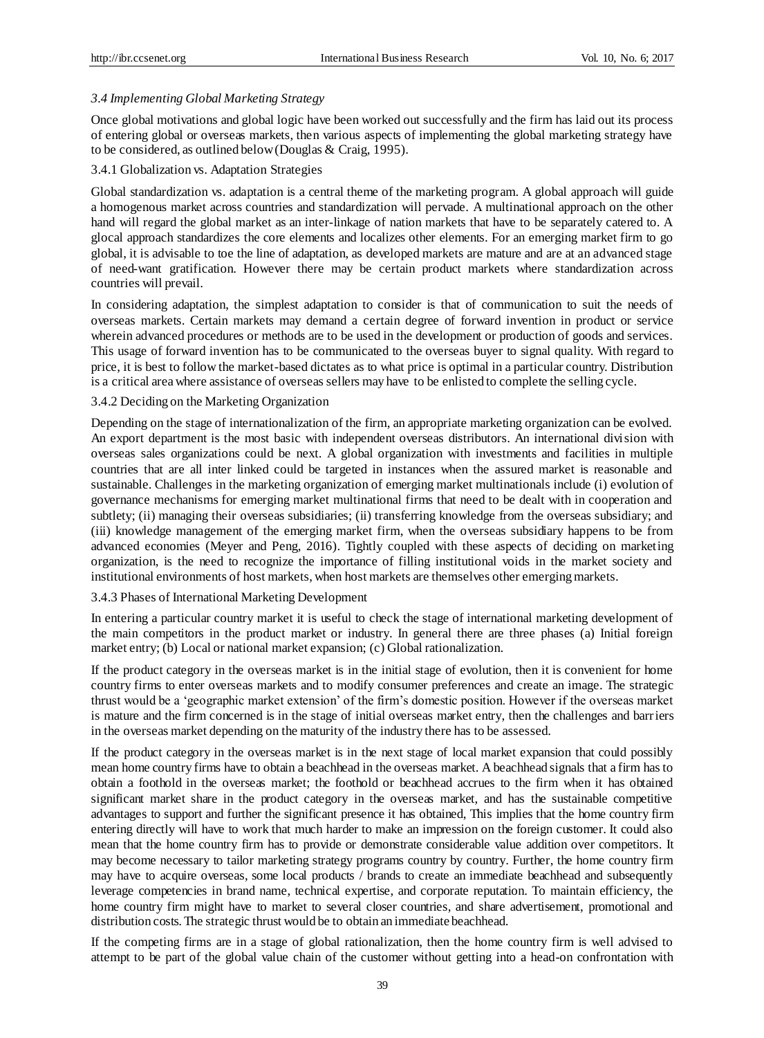## *3.4 Implementing Global Marketing Strategy*

Once global motivations and global logic have been worked out successfully and the firm has laid out its process of entering global or overseas markets, then various aspects of implementing the global marketing strategy have to be considered, as outlined below (Douglas & Craig, 1995).

## 3.4.1 Globalization vs. Adaptation Strategies

Global standardization vs. adaptation is a central theme of the marketing program. A global approach will guide a homogenous market across countries and standardization will pervade. A multinational approach on the other hand will regard the global market as an inter-linkage of nation markets that have to be separately catered to. A glocal approach standardizes the core elements and localizes other elements. For an emerging market firm to go global, it is advisable to toe the line of adaptation, as developed markets are mature and are at an advanced stage of need-want gratification. However there may be certain product markets where standardization across countries will prevail.

In considering adaptation, the simplest adaptation to consider is that of communication to suit the needs of overseas markets. Certain markets may demand a certain degree of forward invention in product or service wherein advanced procedures or methods are to be used in the development or production of goods and services. This usage of forward invention has to be communicated to the overseas buyer to signal quality. With regard to price, it is best to follow the market-based dictates as to what price is optimal in a particular country. Distribution is a critical area where assistance of overseas sellers may have to be enlisted to complete the selling cycle.

## 3.4.2 Deciding on the Marketing Organization

Depending on the stage of internationalization of the firm, an appropriate marketing organization can be evolved. An export department is the most basic with independent overseas distributors. An international division with overseas sales organizations could be next. A global organization with investments and facilities in multiple countries that are all inter linked could be targeted in instances when the assured market is reasonable and sustainable. Challenges in the marketing organization of emerging market multinationals include (i) evolution of governance mechanisms for emerging market multinational firms that need to be dealt with in cooperation and subtlety; (ii) managing their overseas subsidiaries; (ii) transferring knowledge from the overseas subsidiary; and (iii) knowledge management of the emerging market firm, when the overseas subsidiary happens to be from advanced economies (Meyer and Peng, 2016). Tightly coupled with these aspects of deciding on marketing organization, is the need to recognize the importance of filling institutional voids in the market society and institutional environments of host markets, when host markets are themselves other emerging markets.

#### 3.4.3 Phases of International Marketing Development

In entering a particular country market it is useful to check the stage of international marketing development of the main competitors in the product market or industry. In general there are three phases (a) Initial foreign market entry; (b) Local or national market expansion; (c) Global rationalization.

If the product category in the overseas market is in the initial stage of evolution, then it is convenient for home country firms to enter overseas markets and to modify consumer preferences and create an image. The strategic thrust would be a 'geographic market extension' of the firm's domestic position. However if the overseas market is mature and the firm concerned is in the stage of initial overseas market entry, then the challenges and barriers in the overseas market depending on the maturity of the industry there has to be assessed.

If the product category in the overseas market is in the next stage of local market expansion that could possibly mean home country firms have to obtain a beachhead in the overseas market. A beachhead signals that a firm has to obtain a foothold in the overseas market; the foothold or beachhead accrues to the firm when it has obtained significant market share in the product category in the overseas market, and has the sustainable competitive advantages to support and further the significant presence it has obtained, This implies that the home country firm entering directly will have to work that much harder to make an impression on the foreign customer. It could also mean that the home country firm has to provide or demonstrate considerable value addition over competitors. It may become necessary to tailor marketing strategy programs country by country. Further, the home country firm may have to acquire overseas, some local products / brands to create an immediate beachhead and subsequently leverage competencies in brand name, technical expertise, and corporate reputation. To maintain efficiency, the home country firm might have to market to several closer countries, and share advertisement, promotional and distribution costs. The strategic thrust would be to obtain an immediate beachhead.

If the competing firms are in a stage of global rationalization, then the home country firm is well advised to attempt to be part of the global value chain of the customer without getting into a head-on confrontation with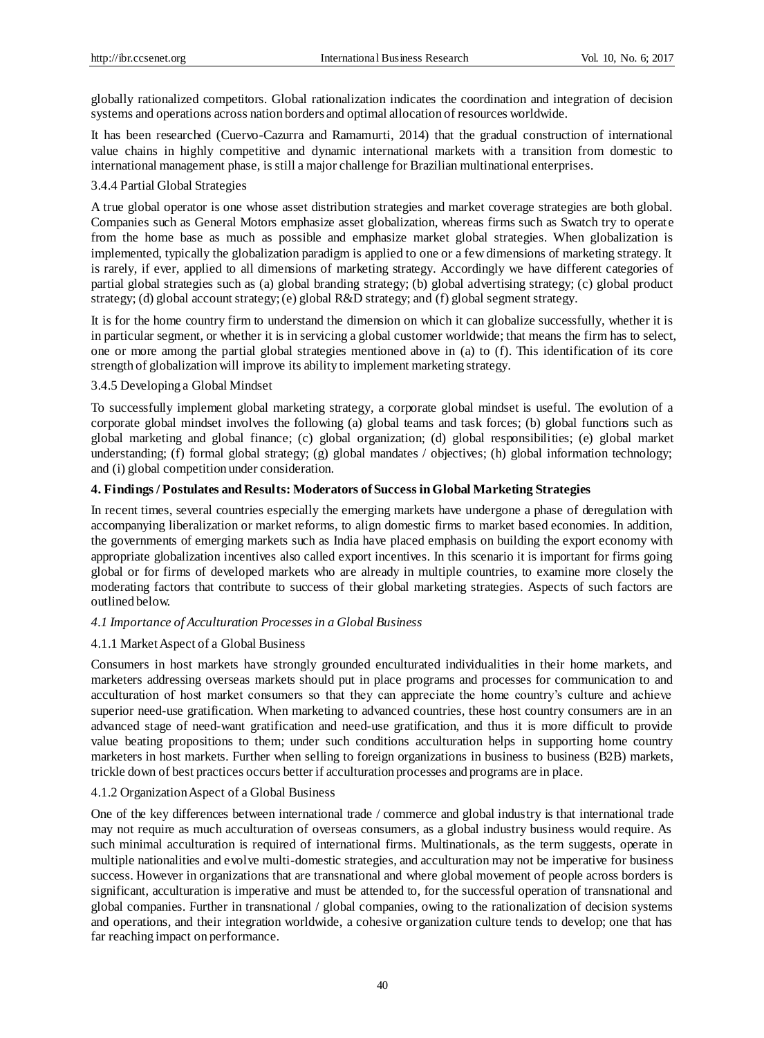globally rationalized competitors. Global rationalization indicates the coordination and integration of decision systems and operations across nation borders and optimal allocation of resources worldwide.

It has been researched (Cuervo-Cazurra and Ramamurti, 2014) that the gradual construction of international value chains in highly competitive and dynamic international markets with a transition from domestic to international management phase, is still a major challenge for Brazilian multinational enterprises.

## 3.4.4 Partial Global Strategies

A true global operator is one whose asset distribution strategies and market coverage strategies are both global. Companies such as General Motors emphasize asset globalization, whereas firms such as Swatch try to operate from the home base as much as possible and emphasize market global strategies. When globalization is implemented, typically the globalization paradigm is applied to one or a few dimensions of marketing strategy. It is rarely, if ever, applied to all dimensions of marketing strategy. Accordingly we have different categories of partial global strategies such as (a) global branding strategy; (b) global advertising strategy; (c) global product strategy; (d) global account strategy; (e) global R&D strategy; and (f) global segment strategy.

It is for the home country firm to understand the dimension on which it can globalize successfully, whether it is in particular segment, or whether it is in servicing a global customer worldwide; that means the firm has to select, one or more among the partial global strategies mentioned above in (a) to (f). This identification of its core strength of globalization will improve its ability to implement marketing strategy.

## 3.4.5 Developing a Global Mindset

To successfully implement global marketing strategy, a corporate global mindset is useful. The evolution of a corporate global mindset involves the following (a) global teams and task forces; (b) global functions such as global marketing and global finance; (c) global organization; (d) global responsibilities; (e) global market understanding; (f) formal global strategy; (g) global mandates / objectives; (h) global information technology; and (i) global competition under consideration.

## **4. Findings / Postulates and Results: Moderators of Success in Global Marketing Strategies**

In recent times, several countries especially the emerging markets have undergone a phase of deregulation with accompanying liberalization or market reforms, to align domestic firms to market based economies. In addition, the governments of emerging markets such as India have placed emphasis on building the export economy with appropriate globalization incentives also called export incentives. In this scenario it is important for firms going global or for firms of developed markets who are already in multiple countries, to examine more closely the moderating factors that contribute to success of their global marketing strategies. Aspects of such factors are outlined below.

## *4.1 Importance of Acculturation Processes in a Global Business*

#### 4.1.1 Market Aspect of a Global Business

Consumers in host markets have strongly grounded enculturated individualities in their home markets, and marketers addressing overseas markets should put in place programs and processes for communication to and acculturation of host market consumers so that they can appreciate the home country's culture and achieve superior need-use gratification. When marketing to advanced countries, these host country consumers are in an advanced stage of need-want gratification and need-use gratification, and thus it is more difficult to provide value beating propositions to them; under such conditions acculturation helps in supporting home country marketers in host markets. Further when selling to foreign organizations in business to business (B2B) markets, trickle down of best practices occurs better if acculturation processes and programs are in place.

#### 4.1.2 Organization Aspect of a Global Business

One of the key differences between international trade / commerce and global industry is that international trade may not require as much acculturation of overseas consumers, as a global industry business would require. As such minimal acculturation is required of international firms. Multinationals, as the term suggests, operate in multiple nationalities and evolve multi-domestic strategies, and acculturation may not be imperative for business success. However in organizations that are transnational and where global movement of people across borders is significant, acculturation is imperative and must be attended to, for the successful operation of transnational and global companies. Further in transnational / global companies, owing to the rationalization of decision systems and operations, and their integration worldwide, a cohesive organization culture tends to develop; one that has far reaching impact on performance.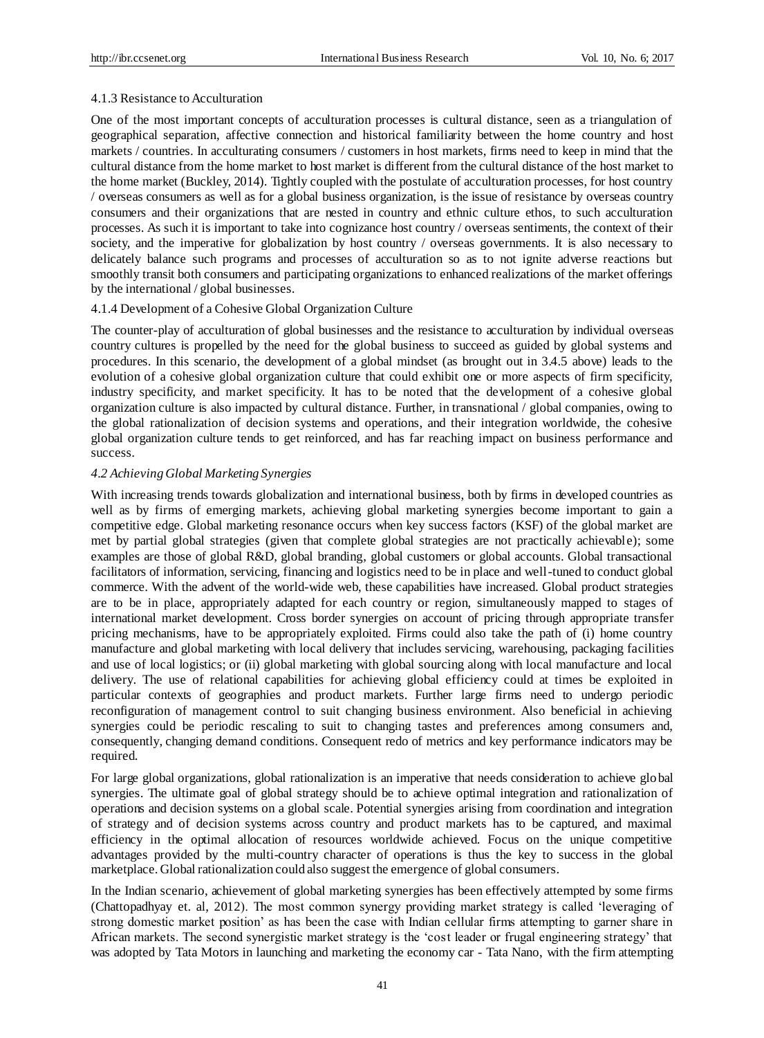### 4.1.3 Resistance to Acculturation

One of the most important concepts of acculturation processes is cultural distance, seen as a triangulation of geographical separation, affective connection and historical familiarity between the home country and host markets / countries. In acculturating consumers / customers in host markets, firms need to keep in mind that the cultural distance from the home market to host market is different from the cultural distance of the host market to the home market (Buckley, 2014). Tightly coupled with the postulate of acculturation processes, for host country / overseas consumers as well as for a global business organization, is the issue of resistance by overseas country consumers and their organizations that are nested in country and ethnic culture ethos, to such acculturation processes. As such it is important to take into cognizance host country / overseas sentiments, the context of their society, and the imperative for globalization by host country / overseas governments. It is also necessary to delicately balance such programs and processes of acculturation so as to not ignite adverse reactions but smoothly transit both consumers and participating organizations to enhanced realizations of the market offerings by the international / global businesses.

## 4.1.4 Development of a Cohesive Global Organization Culture

The counter-play of acculturation of global businesses and the resistance to acculturation by individual overseas country cultures is propelled by the need for the global business to succeed as guided by global systems and procedures. In this scenario, the development of a global mindset (as brought out in 3.4.5 above) leads to the evolution of a cohesive global organization culture that could exhibit one or more aspects of firm specificity, industry specificity, and market specificity. It has to be noted that the development of a cohesive global organization culture is also impacted by cultural distance. Further, in transnational / global companies, owing to the global rationalization of decision systems and operations, and their integration worldwide, the cohesive global organization culture tends to get reinforced, and has far reaching impact on business performance and success.

### *4.2 Achieving Global Marketing Synergies*

With increasing trends towards globalization and international business, both by firms in developed countries as well as by firms of emerging markets, achieving global marketing synergies become important to gain a competitive edge. Global marketing resonance occurs when key success factors (KSF) of the global market are met by partial global strategies (given that complete global strategies are not practically achievable); some examples are those of global R&D, global branding, global customers or global accounts. Global transactional facilitators of information, servicing, financing and logistics need to be in place and well-tuned to conduct global commerce. With the advent of the world-wide web, these capabilities have increased. Global product strategies are to be in place, appropriately adapted for each country or region, simultaneously mapped to stages of international market development. Cross border synergies on account of pricing through appropriate transfer pricing mechanisms, have to be appropriately exploited. Firms could also take the path of (i) home country manufacture and global marketing with local delivery that includes servicing, warehousing, packaging facilities and use of local logistics; or (ii) global marketing with global sourcing along with local manufacture and local delivery. The use of relational capabilities for achieving global efficiency could at times be exploited in particular contexts of geographies and product markets. Further large firms need to undergo periodic reconfiguration of management control to suit changing business environment. Also beneficial in achieving synergies could be periodic rescaling to suit to changing tastes and preferences among consumers and, consequently, changing demand conditions. Consequent redo of metrics and key performance indicators may be required.

For large global organizations, global rationalization is an imperative that needs consideration to achieve glo bal synergies. The ultimate goal of global strategy should be to achieve optimal integration and rationalization of operations and decision systems on a global scale. Potential synergies arising from coordination and integration of strategy and of decision systems across country and product markets has to be captured, and maximal efficiency in the optimal allocation of resources worldwide achieved. Focus on the unique competitive advantages provided by the multi-country character of operations is thus the key to success in the global marketplace. Global rationalization could also suggest the emergence of global consumers.

In the Indian scenario, achievement of global marketing synergies has been effectively attempted by some firms (Chattopadhyay et. al, 2012). The most common synergy providing market strategy is called 'leveraging of strong domestic market position' as has been the case with Indian cellular firms attempting to garner share in African markets. The second synergistic market strategy is the 'cost leader or frugal engineering strategy' that was adopted by Tata Motors in launching and marketing the economy car - Tata Nano, with the firm attempting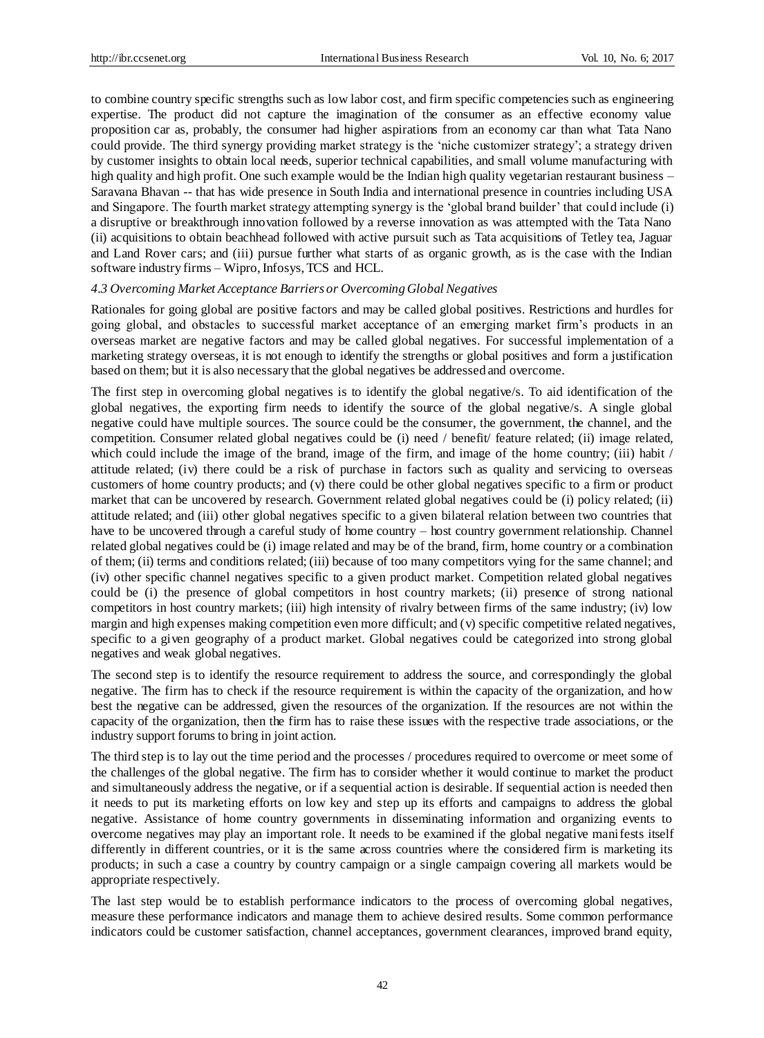to combine country specific strengths such as low labor cost, and firm specific competencies such as engineering expertise. The product did not capture the imagination of the consumer as an effective economy value proposition car as, probably, the consumer had higher aspirations from an economy car than what Tata Nano could provide. The third synergy providing market strategy is the 'niche customizer strategy'; a strategy driven by customer insights to obtain local needs, superior technical capabilities, and small volume manufacturing with high quality and high profit. One such example would be the Indian high quality vegetarian restaurant business – Saravana Bhavan -- that has wide presence in South India and international presence in countries including USA and Singapore. The fourth market strategy attempting synergy is the 'global brand builder' that could include (i) a disruptive or breakthrough innovation followed by a reverse innovation as was attempted with the Tata Nano (ii) acquisitions to obtain beachhead followed with active pursuit such as Tata acquisitions of Tetley tea, Jaguar and Land Rover cars; and (iii) pursue further what starts of as organic growth, as is the case with the Indian software industry firms – Wipro, Infosys, TCS and HCL.

## *4.3 Overcoming Market Acceptance Barriers or Overcoming Global Negatives*

Rationales for going global are positive factors and may be called global positives. Restrictions and hurdles for going global, and obstacles to successful market acceptance of an emerging market firm's products in an overseas market are negative factors and may be called global negatives. For successful implementation of a marketing strategy overseas, it is not enough to identify the strengths or global positives and form a justification based on them; but it is also necessary that the global negatives be addressed and overcome.

The first step in overcoming global negatives is to identify the global negative/s. To aid identification of the global negatives, the exporting firm needs to identify the source of the global negative/s. A single global negative could have multiple sources. The source could be the consumer, the government, the channel, and the competition. Consumer related global negatives could be (i) need / benefit/ feature related; (ii) image related, which could include the image of the brand, image of the firm, and image of the home country; (iii) habit / attitude related; (iv) there could be a risk of purchase in factors such as quality and servicing to overseas customers of home country products; and (v) there could be other global negatives specific to a firm or product market that can be uncovered by research. Government related global negatives could be (i) policy related; (ii) attitude related; and (iii) other global negatives specific to a given bilateral relation between two countries that have to be uncovered through a careful study of home country – host country government relationship. Channel related global negatives could be (i) image related and may be of the brand, firm, home country or a combination of them; (ii) terms and conditions related; (iii) because of too many competitors vying for the same channel; and (iv) other specific channel negatives specific to a given product market. Competition related global negatives could be (i) the presence of global competitors in host country markets; (ii) presence of strong national competitors in host country markets; (iii) high intensity of rivalry between firms of the same industry; (iv) low margin and high expenses making competition even more difficult; and (v) specific competitive related negatives, specific to a given geography of a product market. Global negatives could be categorized into strong global negatives and weak global negatives.

The second step is to identify the resource requirement to address the source, and correspondingly the global negative. The firm has to check if the resource requirement is within the capacity of the organization, and how best the negative can be addressed, given the resources of the organization. If the resources are not within the capacity of the organization, then the firm has to raise these issues with the respective trade associations, or the industry support forums to bring in joint action.

The third step is to lay out the time period and the processes / procedures required to overcome or meet some of the challenges of the global negative. The firm has to consider whether it would continue to market the product and simultaneously address the negative, or if a sequential action is desirable. If sequential action is needed then it needs to put its marketing efforts on low key and step up its efforts and campaigns to address the global negative. Assistance of home country governments in disseminating information and organizing events to overcome negatives may play an important role. It needs to be examined if the global negative manifests itself differently in different countries, or it is the same across countries where the considered firm is marketing its products; in such a case a country by country campaign or a single campaign covering all markets would be appropriate respectively.

The last step would be to establish performance indicators to the process of overcoming global negatives, measure these performance indicators and manage them to achieve desired results. Some common performance indicators could be customer satisfaction, channel acceptances, government clearances, improved brand equity,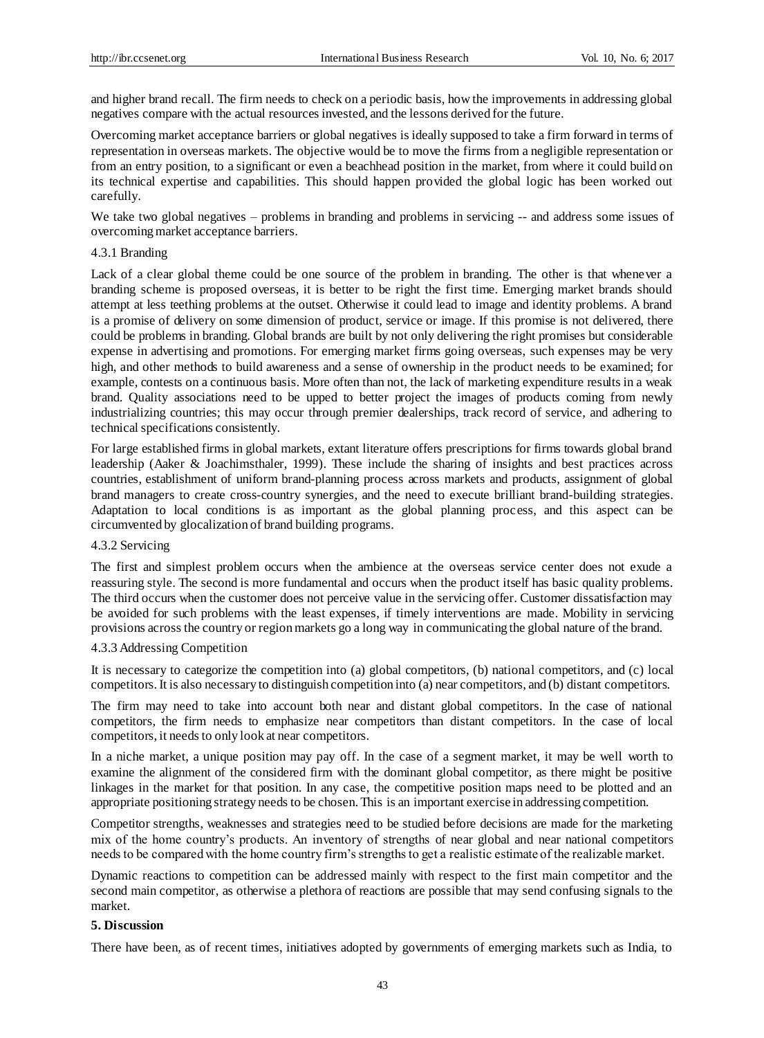and higher brand recall. The firm needs to check on a periodic basis, how the improvements in addressing global negatives compare with the actual resources invested, and the lessons derived for the future.

Overcoming market acceptance barriers or global negatives is ideally supposed to take a firm forward in terms of representation in overseas markets. The objective would be to move the firms from a negligible representation or from an entry position, to a significant or even a beachhead position in the market, from where it could build on its technical expertise and capabilities. This should happen provided the global logic has been worked out carefully.

We take two global negatives – problems in branding and problems in servicing -- and address some issues of overcoming market acceptance barriers.

#### 4.3.1 Branding

Lack of a clear global theme could be one source of the problem in branding. The other is that whenever a branding scheme is proposed overseas, it is better to be right the first time. Emerging market brands should attempt at less teething problems at the outset. Otherwise it could lead to image and identity problems. A brand is a promise of delivery on some dimension of product, service or image. If this promise is not delivered, there could be problems in branding. Global brands are built by not only delivering the right promises but considerable expense in advertising and promotions. For emerging market firms going overseas, such expenses may be very high, and other methods to build awareness and a sense of ownership in the product needs to be examined; for example, contests on a continuous basis. More often than not, the lack of marketing expenditure results in a weak brand. Quality associations need to be upped to better project the images of products coming from newly industrializing countries; this may occur through premier dealerships, track record of service, and adhering to technical specifications consistently.

For large established firms in global markets, extant literature offers prescriptions for firms towards global brand leadership (Aaker & Joachimsthaler, 1999). These include the sharing of insights and best practices across countries, establishment of uniform brand-planning process across markets and products, assignment of global brand managers to create cross-country synergies, and the need to execute brilliant brand-building strategies. Adaptation to local conditions is as important as the global planning process, and this aspect can be circumvented by glocalization of brand building programs.

#### 4.3.2 Servicing

The first and simplest problem occurs when the ambience at the overseas service center does not exude a reassuring style. The second is more fundamental and occurs when the product itself has basic quality problems. The third occurs when the customer does not perceive value in the servicing offer. Customer dissatisfaction may be avoided for such problems with the least expenses, if timely interventions are made. Mobility in servicing provisions across the country or region markets go a long way in communicating the global nature of the brand.

## 4.3.3 Addressing Competition

It is necessary to categorize the competition into (a) global competitors, (b) national competitors, and (c) local competitors. It is also necessary to distinguish competition into (a) near competitors, and (b) distant competitors.

The firm may need to take into account both near and distant global competitors. In the case of national competitors, the firm needs to emphasize near competitors than distant competitors. In the case of local competitors, it needs to only look at near competitors.

In a niche market, a unique position may pay off. In the case of a segment market, it may be well worth to examine the alignment of the considered firm with the dominant global competitor, as there might be positive linkages in the market for that position. In any case, the competitive position maps need to be plotted and an appropriate positioning strategy needs to be chosen. This is an important exercise in addressing competition.

Competitor strengths, weaknesses and strategies need to be studied before decisions are made for the marketing mix of the home country's products. An inventory of strengths of near global and near national competitors needs to be compared with the home country firm's strengths to get a realistic estimate of the realizable market.

Dynamic reactions to competition can be addressed mainly with respect to the first main competitor and the second main competitor, as otherwise a plethora of reactions are possible that may send confusing signals to the market.

## **5. Discussion**

There have been, as of recent times, initiatives adopted by governments of emerging markets such as India, to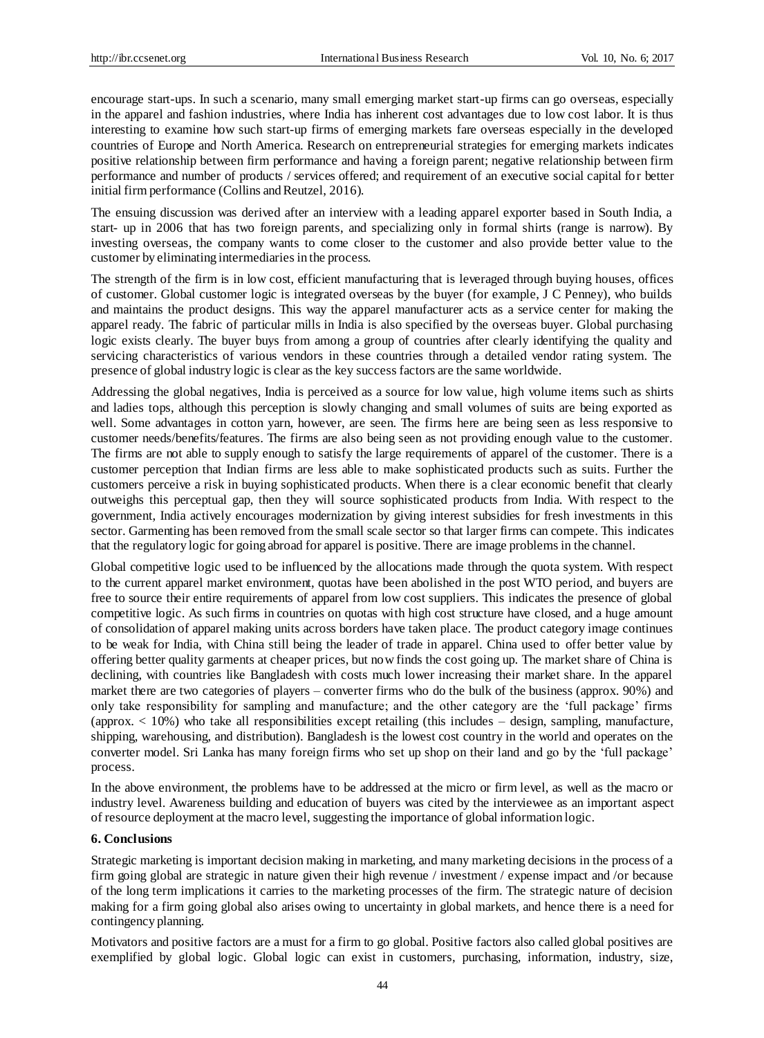encourage start-ups. In such a scenario, many small emerging market start-up firms can go overseas, especially in the apparel and fashion industries, where India has inherent cost advantages due to low cost labor. It is thus interesting to examine how such start-up firms of emerging markets fare overseas especially in the developed countries of Europe and North America. Research on entrepreneurial strategies for emerging markets indicates positive relationship between firm performance and having a foreign parent; negative relationship between firm performance and number of products / services offered; and requirement of an executive social capital for better initial firm performance (Collins and Reutzel, 2016).

The ensuing discussion was derived after an interview with a leading apparel exporter based in South India, a start- up in 2006 that has two foreign parents, and specializing only in formal shirts (range is narrow). By investing overseas, the company wants to come closer to the customer and also provide better value to the customer by eliminating intermediaries in the process.

The strength of the firm is in low cost, efficient manufacturing that is leveraged through buying houses, offices of customer. Global customer logic is integrated overseas by the buyer (for example, J C Penney), who builds and maintains the product designs. This way the apparel manufacturer acts as a service center for making the apparel ready. The fabric of particular mills in India is also specified by the overseas buyer. Global purchasing logic exists clearly. The buyer buys from among a group of countries after clearly identifying the quality and servicing characteristics of various vendors in these countries through a detailed vendor rating system. The presence of global industry logic is clear as the key success factors are the same worldwide.

Addressing the global negatives, India is perceived as a source for low value, high volume items such as shirts and ladies tops, although this perception is slowly changing and small volumes of suits are being exported as well. Some advantages in cotton yarn, however, are seen. The firms here are being seen as less responsive to customer needs/benefits/features. The firms are also being seen as not providing enough value to the customer. The firms are not able to supply enough to satisfy the large requirements of apparel of the customer. There is a customer perception that Indian firms are less able to make sophisticated products such as suits. Further the customers perceive a risk in buying sophisticated products. When there is a clear economic benefit that clearly outweighs this perceptual gap, then they will source sophisticated products from India. With respect to the government, India actively encourages modernization by giving interest subsidies for fresh investments in this sector. Garmenting has been removed from the small scale sector so that larger firms can compete. This indicates that the regulatory logic for going abroad for apparel is positive. There are image problems in the channel.

Global competitive logic used to be influenced by the allocations made through the quota system. With respect to the current apparel market environment, quotas have been abolished in the post WTO period, and buyers are free to source their entire requirements of apparel from low cost suppliers. This indicates the presence of global competitive logic. As such firms in countries on quotas with high cost structure have closed, and a huge amount of consolidation of apparel making units across borders have taken place. The product category image continues to be weak for India, with China still being the leader of trade in apparel. China used to offer better value by offering better quality garments at cheaper prices, but now finds the cost going up. The market share of China is declining, with countries like Bangladesh with costs much lower increasing their market share. In the apparel market there are two categories of players – converter firms who do the bulk of the business (approx. 90%) and only take responsibility for sampling and manufacture; and the other category are the 'full package' firms (approx. < 10%) who take all responsibilities except retailing (this includes – design, sampling, manufacture, shipping, warehousing, and distribution). Bangladesh is the lowest cost country in the world and operates on the converter model. Sri Lanka has many foreign firms who set up shop on their land and go by the 'full package' process.

In the above environment, the problems have to be addressed at the micro or firm level, as well as the macro or industry level. Awareness building and education of buyers was cited by the interviewee as an important aspect of resource deployment at the macro level, suggesting the importance of global information logic.

## **6. Conclusions**

Strategic marketing is important decision making in marketing, and many marketing decisions in the process of a firm going global are strategic in nature given their high revenue / investment / expense impact and /or because of the long term implications it carries to the marketing processes of the firm. The strategic nature of decision making for a firm going global also arises owing to uncertainty in global markets, and hence there is a need for contingency planning.

Motivators and positive factors are a must for a firm to go global. Positive factors also called global positives are exemplified by global logic. Global logic can exist in customers, purchasing, information, industry, size,